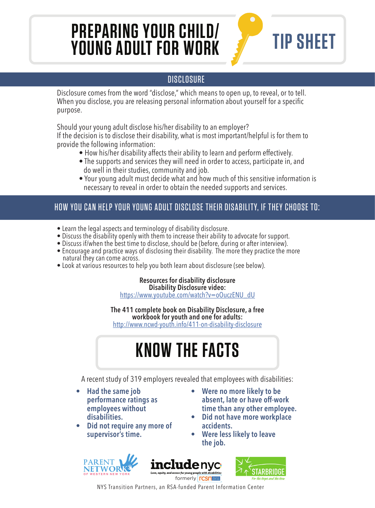## **PREPARING YOUR CHILD/ YOUNG ADULT FOR WORK**



#### **DISCLOSURE**

Disclosure comes from the word "disclose," which means to open up, to reveal, or to tell. When you disclose, you are releasing personal information about yourself for a specific purpose.

Should your young adult disclose his/her disability to an employer?

If the decision is to disclose their disability, what is most important/helpful is for them to provide the following information:

- How his/her disability affects their ability to learn and perform effectively.
- The supports and services they will need in order to access, participate in, and do well in their studies, community and job.
- Your young adult must decide what and how much of this sensitive information is necessary to reveal in order to obtain the needed supports and services.

#### HOW YOU CAN HELP YOUR YOUNG ADULT DISCLOSE THEIR DISABILITY, IF THEY CHOOSE TO:

- Learn the legal aspects and terminology of disability disclosure.
- Discuss the disability openly with them to increase their ability to advocate for support.
- Discuss if/when the best time to disclose, should be (before, during or after interview).
- Encourage and practice ways of disclosing their disability. The more they practice the more natural they can come across.
- Look at various resources to help you both learn about disclosure (see below).

**Resources for disability disclosure Disability Disclosure video:** https://www.youtube.com/watch?v=oOuczENU\_dU

**The 411 complete book on Disability Disclosure, a free workbook for youth and one for adults:** http://www.ncwd-youth.info/411-on-disability-disclosure

# **KNOW THE FACTS**

A recent study of 319 employers revealed that employees with disabilities:

- **Had the same job performance ratings as employees without disabilities.**
- **Did not require any more of supervisor's time.**
- **Were no more likely to be absent, late or have off-work time than any other employee.**
- **Did not have more workplace accidents.**
- **Were less likely to leave the job.**







NYS Transition Partners, an RSA-funded Parent Information Center